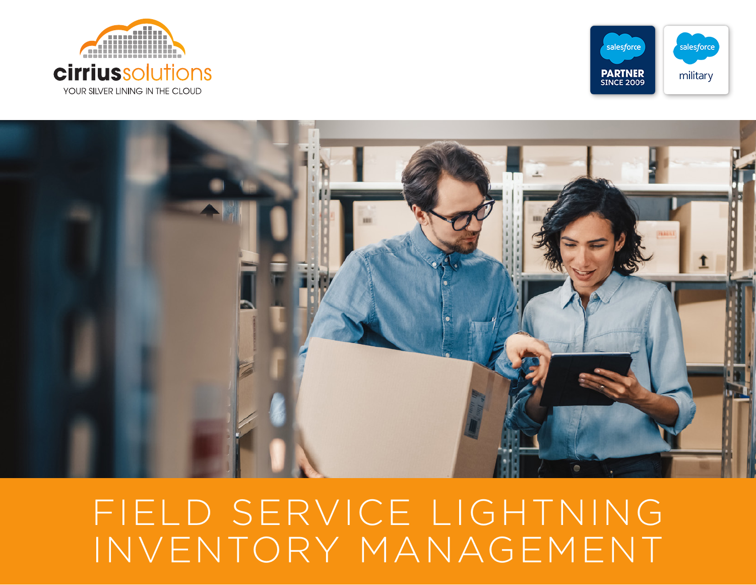





# FIELD SERVICE LIGHTNING INVENTORY MANAGEMENT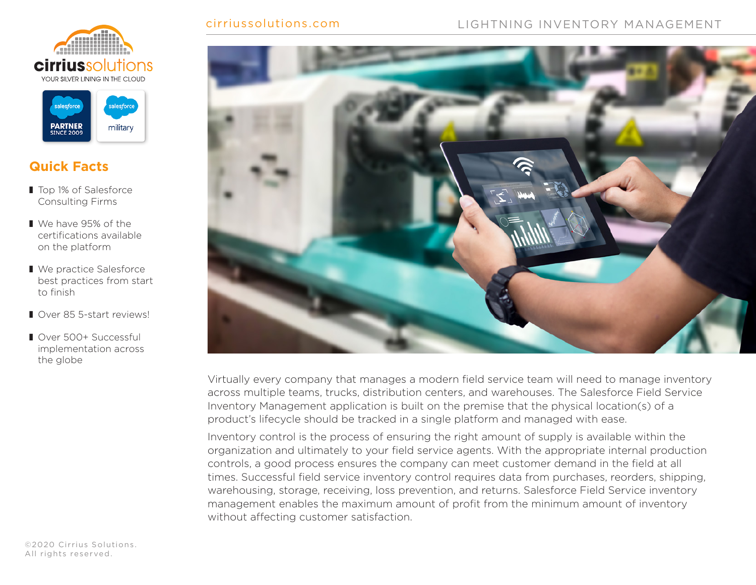



### **Quick Facts**

- Top 1% of Salesforce Consulting Firms
- We have 95% of the certifications available on the platform
- We practice Salesforce best practices from start to finish
- Over 85 5-start reviews!
- Over 500+ Successful implementation across the globe



#### cirriussolutions.com LIGHTNING INVENTORY MANAGEMENT



Virtually every company that manages a modern field service team will need to manage inventory across multiple teams, trucks, distribution centers, and warehouses. The Salesforce Field Service Inventory Management application is built on the premise that the physical location(s) of a product's lifecycle should be tracked in a single platform and managed with ease.

Inventory control is the process of ensuring the right amount of supply is available within the organization and ultimately to your field service agents. With the appropriate internal production controls, a good process ensures the company can meet customer demand in the field at all times. Successful field service inventory control requires data from purchases, reorders, shipping, warehousing, storage, receiving, loss prevention, and returns. Salesforce Field Service inventory management enables the maximum amount of profit from the minimum amount of inventory without affecting customer satisfaction.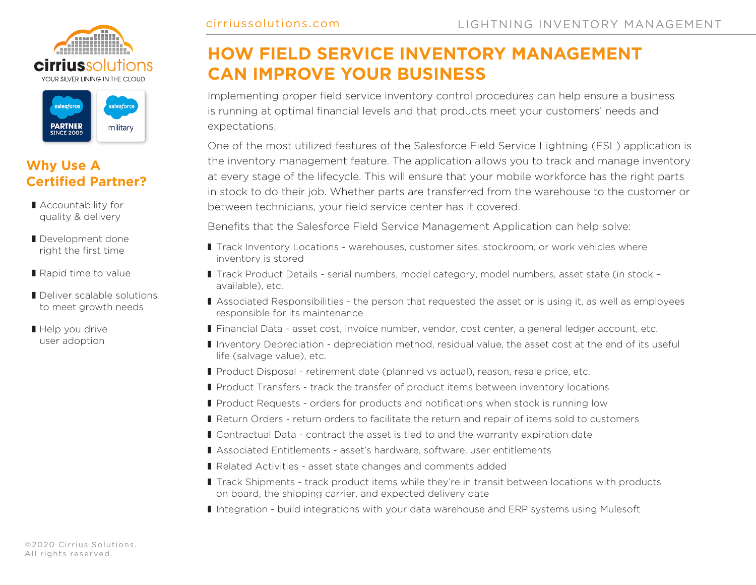



#### **Why Use A Certified Partner?**

- Accountability for quality & delivery
- Development done right the first time
- Rapid time to value
- Deliver scalable solutions to meet growth needs
- Help you drive user adoption

## **HOW FIELD SERVICE INVENTORY MANAGEMENT CAN IMPROVE YOUR BUSINESS**

Implementing proper field service inventory control procedures can help ensure a business is running at optimal financial levels and that products meet your customers' needs and expectations.

One of the most utilized features of the Salesforce Field Service Lightning (FSL) application is the inventory management feature. The application allows you to track and manage inventory at every stage of the lifecycle. This will ensure that your mobile workforce has the right parts in stock to do their job. Whether parts are transferred from the warehouse to the customer or between technicians, your field service center has it covered.

Benefits that the Salesforce Field Service Management Application can help solve:

- Track Inventory Locations warehouses, customer sites, stockroom, or work vehicles where inventory is stored
- Track Product Details serial numbers, model category, model numbers, asset state (in stock available), etc.
- Associated Responsibilities the person that requested the asset or is using it, as well as employees responsible for its maintenance
- Financial Data asset cost, invoice number, vendor, cost center, a general ledger account, etc.
- Inventory Depreciation depreciation method, residual value, the asset cost at the end of its useful life (salvage value), etc.
- Product Disposal retirement date (planned vs actual), reason, resale price, etc.
- Product Transfers track the transfer of product items between inventory locations
- Product Requests orders for products and notifications when stock is running low
- Return Orders return orders to facilitate the return and repair of items sold to customers
- Contractual Data contract the asset is tied to and the warranty expiration date
- Associated Entitlements asset's hardware, software, user entitlements
- Related Activities asset state changes and comments added
- Track Shipments track product items while they're in transit between locations with products on board, the shipping carrier, and expected delivery date
- Integration build integrations with your data warehouse and ERP systems using Mulesoft